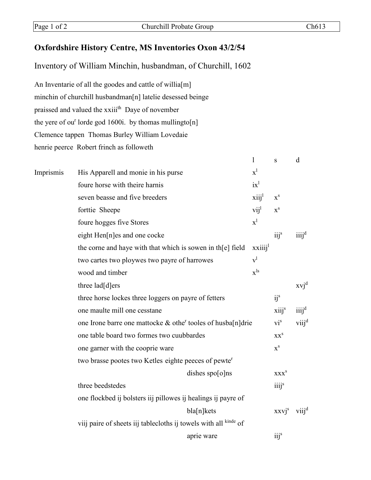## Oxfordshire History Centre, MS Inventories Oxon 43/2/54

Inventory of William Minchin, husbandman, of Churchill, 1602

An Inventarie of all the goodes and cattle of willia[m] minchin of churchill husbandman[n] latelie desessed beinge praissed and valued the xxiii<sup>th</sup> Daye of november the yere of ou<sup>r</sup> lorde god 1600i. by thomas mullingto[n] Clemence tappen Thomas Burley William Lovedaie henrie peerce Robert frinch as followeth

|           |                                                                  |                    | T                        | ${\bf S}$                     | d                 |
|-----------|------------------------------------------------------------------|--------------------|--------------------------|-------------------------------|-------------------|
| Imprismis | His Apparell and monie in his purse                              |                    | $x^1$                    |                               |                   |
|           | foure horse with theire harnis                                   |                    | $ix^l$                   |                               |                   |
|           | seven beasse and five breeders                                   |                    | xiii <sup>1</sup>        | $\mathbf{x}^{\rm s}$          |                   |
|           | forttie Sheepe                                                   |                    | $vii^1$                  | $\mathbf{x}^{\rm s}$          |                   |
|           | foure hogges five Stores                                         |                    | $x^1$                    |                               |                   |
|           | eight Hen[n]es and one cocke                                     |                    |                          | $iii^s$                       | iiij <sup>d</sup> |
|           | the corne and haye with that which is sowen in th[e] field       |                    | xxiii <sup>1</sup>       |                               |                   |
|           | two cartes two ploywes two payre of harrowes                     |                    | $v^l$                    |                               |                   |
|           | wood and timber                                                  |                    | $\mathbf{x}^{\text{ls}}$ |                               |                   |
|           | three lad[d]ers                                                  |                    |                          |                               | $xvi^d$           |
|           | three horse lockes three loggers on payre of fetters             |                    |                          | i j <sup>s</sup>              |                   |
|           | one maulte mill one cesstane                                     |                    |                          | xiij <sup>s</sup>             | $\ddot{1}$        |
|           | one Irone barre one mattocke & other tooles of husba $[n]$ drie  |                    |                          | $\mathbf{vi}^{\rm s}$         | $viii^d$          |
|           | one table board two formes two cuubbardes                        |                    |                          | XX <sup>S</sup>               |                   |
|           | one garner with the cooprie ware                                 |                    | $X^S$                    |                               |                   |
|           | two brasse pootes two Ketles eighte peeces of pewter             |                    |                          |                               |                   |
|           |                                                                  | dishes $spo[o]$ ns |                          | <b>XXX</b> <sup>S</sup>       |                   |
|           | three beedstedes                                                 |                    |                          | $\overline{111}$ <sup>s</sup> |                   |
|           | one flockbed ij bolsters iij pillowes ij healings ij payre of    |                    |                          |                               |                   |
|           |                                                                  | bla[n]kets         |                          | $XXVj^s$                      | viij <sup>d</sup> |
|           | viij paire of sheets iij tablecloths ij towels with all kinde of |                    |                          |                               |                   |
|           |                                                                  | aprie ware         |                          | i <sub>ij</sub> <sup>s</sup>  |                   |
|           |                                                                  |                    |                          |                               |                   |